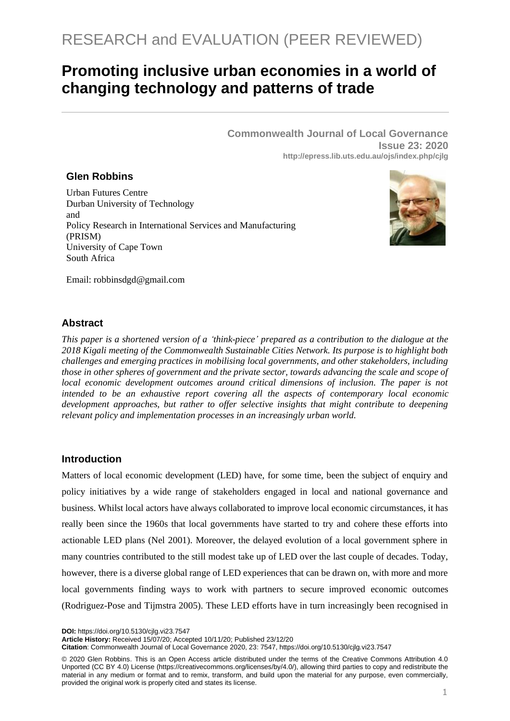# **Promoting inclusive urban economies in a world of changing technology and patterns of trade**

**Commonwealth Journal of Local Governance Issue 23: 2020 http://epress.lib.uts.edu.au/ojs/index.php/cjlg**

# **Glen Robbins**

Urban Futures Centre Durban University of Technology and Policy Research in International Services and Manufacturing (PRISM) University of Cape Town South Africa



Email: [robbinsdgd@gmail.com](mailto:robbinsdgd@gmail.com)

# **Abstract**

*This paper is a shortened version of a 'think-piece' prepared as a contribution to the dialogue at the 2018 Kigali meeting of the Commonwealth Sustainable Cities Network. Its purpose is to highlight both challenges and emerging practices in mobilising local governments, and other stakeholders, including those in other spheres of government and the private sector, towards advancing the scale and scope of local economic development outcomes around critical dimensions of inclusion. The paper is not intended to be an exhaustive report covering all the aspects of contemporary local economic development approaches, but rather to offer selective insights that might contribute to deepening relevant policy and implementation processes in an increasingly urban world.*

# **Introduction**

Matters of local economic development (LED) have, for some time, been the subject of enquiry and policy initiatives by a wide range of stakeholders engaged in local and national governance and business. Whilst local actors have always collaborated to improve local economic circumstances, it has really been since the 1960s that local governments have started to try and cohere these efforts into actionable LED plans (Nel 2001). Moreover, the delayed evolution of a local government sphere in many countries contributed to the still modest take up of LED over the last couple of decades. Today, however, there is a diverse global range of LED experiences that can be drawn on, with more and more local governments finding ways to work with partners to secure improved economic outcomes (Rodriguez-Pose and Tijmstra 2005). These LED efforts have in turn increasingly been recognised in

**DOI:** https://doi.org/10.5130/cjlg.vi23.7547

**Article History:** Received 15/07/20; Accepted 10/11/20; Published 23/12/20

**Citation**: Commonwealth Journal of Local Governance 2020, 23: 7547, https://doi.org/10.5130/cjlg.vi23.7547

© 2020 Glen Robbins. This is an Open Access article distributed under the terms of the Creative Commons Attribution 4.0 Unported (CC BY 4.0) License [\(https://creativecommons.org/licenses/by/4.0/\)](https://creativecommons.org/licenses/by/4.0/), allowing third parties to copy and redistribute the material in any medium or format and to remix, transform, and build upon the material for any purpose, even commercially, provided the original work is properly cited and states its license.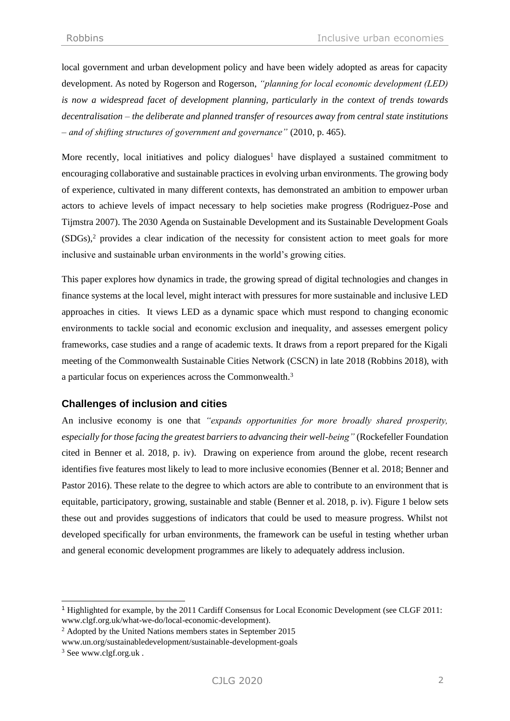local government and urban development policy and have been widely adopted as areas for capacity development. As noted by Rogerson and Rogerson, *"planning for local economic development (LED) is now a widespread facet of development planning, particularly in the context of trends towards decentralisation – the deliberate and planned transfer of resources away from central state institutions – and of shifting structures of government and governance"* (2010, p. 465).

More recently, local initiatives and policy dialogues<sup>1</sup> have displayed a sustained commitment to encouraging collaborative and sustainable practices in evolving urban environments. The growing body of experience, cultivated in many different contexts, has demonstrated an ambition to empower urban actors to achieve levels of impact necessary to help societies make progress (Rodriguez-Pose and Tijmstra 2007). The 2030 Agenda on Sustainable Development and its Sustainable Development Goals (SDGs), <sup>2</sup> provides a clear indication of the necessity for consistent action to meet goals for more inclusive and sustainable urban environments in the world's growing cities.

This paper explores how dynamics in trade, the growing spread of digital technologies and changes in finance systems at the local level, might interact with pressures for more sustainable and inclusive LED approaches in cities. It views LED as a dynamic space which must respond to changing economic environments to tackle social and economic exclusion and inequality, and assesses emergent policy frameworks, case studies and a range of academic texts. It draws from a report prepared for the Kigali meeting of the Commonwealth Sustainable Cities Network (CSCN) in late 2018 (Robbins 2018), with a particular focus on experiences across the Commonwealth.<sup>3</sup>

## **Challenges of inclusion and cities**

An inclusive economy is one that *"expands opportunities for more broadly shared prosperity, especially for those facing the greatest barriers to advancing their well-being"* (Rockefeller Foundation cited in Benner et al. 2018, p. iv). Drawing on experience from around the globe, recent research identifies five features most likely to lead to more inclusive economies (Benner et al. 2018; Benner and Pastor 2016). These relate to the degree to which actors are able to contribute to an environment that is equitable, participatory, growing, sustainable and stable (Benner et al. 2018, p. iv). Figure 1 below sets these out and provides suggestions of indicators that could be used to measure progress. Whilst not developed specifically for urban environments, the framework can be useful in testing whether urban and general economic development programmes are likely to adequately address inclusion.

<sup>1</sup> Highlighted for example, by the 2011 Cardiff Consensus for Local Economic Development (see CLGF 2011: [www.clgf.org.uk/what-we-do/local-economic-development\)](http://www.clgf.org.uk/what-we-do/local-economic-development).

<sup>2</sup> Adopted by the United Nations members states in September 2015

[www.un.org/sustainabledevelopment/sustainable-development-goals](http://www.un.org/sustainabledevelopment/sustainable-development-goals)

<sup>3</sup> Se[e www.clgf.org.uk](http://www.clgf.oirg.uk/) .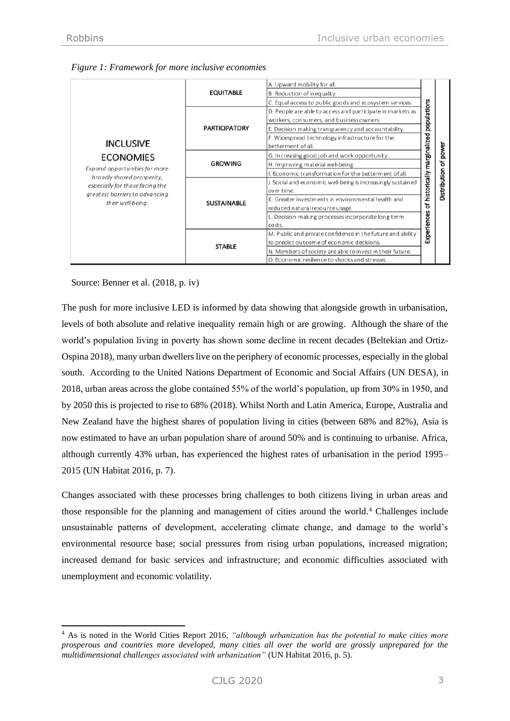| <b>INCLUSIVE</b><br><b>ECONOMIES</b><br>Expand opportunities for more<br>broadly shared prosperity,<br>especially for those facing the<br>greatest barriers to advancing<br>their well-being. | <b>EQUITABLE</b>     | A. Upward mobility for all.<br>B. Reduction of inequality.<br>C. Equal access to public goods and ecosystem services.                                                                                                                                                                                                                                                                                                                                                                                                                                                                                                                                                                    |  |              |
|-----------------------------------------------------------------------------------------------------------------------------------------------------------------------------------------------|----------------------|------------------------------------------------------------------------------------------------------------------------------------------------------------------------------------------------------------------------------------------------------------------------------------------------------------------------------------------------------------------------------------------------------------------------------------------------------------------------------------------------------------------------------------------------------------------------------------------------------------------------------------------------------------------------------------------|--|--------------|
|                                                                                                                                                                                               | <b>PARTICIPATORY</b> | D. People are able to access and participate in markets as<br>workers, consumers, and business owners.<br>E. Decision making transparency and accountability.<br>F. Widespread technology infrastructure for the<br>betterment of all.<br>G. Increasing good job and work opportunity.<br>H. Improving material well-being.<br>I. Economic transformation for the betterment of all.<br>J. Social and economic well-being is increasingly sustained<br>over time.<br>K. Greater investments in environmental health and<br>reduced natural resource usage.<br>L. Decision-making processes incorporate long-term<br>costs.<br>M. Public and private confidence in the future and ability |  |              |
|                                                                                                                                                                                               |                      |                                                                                                                                                                                                                                                                                                                                                                                                                                                                                                                                                                                                                                                                                          |  | power        |
|                                                                                                                                                                                               | <b>GROWING</b>       |                                                                                                                                                                                                                                                                                                                                                                                                                                                                                                                                                                                                                                                                                          |  | ፟፟፟፟፟፟፟      |
|                                                                                                                                                                                               |                      |                                                                                                                                                                                                                                                                                                                                                                                                                                                                                                                                                                                                                                                                                          |  |              |
|                                                                                                                                                                                               | <b>SUSTAINABLE</b>   |                                                                                                                                                                                                                                                                                                                                                                                                                                                                                                                                                                                                                                                                                          |  | Distribution |
|                                                                                                                                                                                               |                      |                                                                                                                                                                                                                                                                                                                                                                                                                                                                                                                                                                                                                                                                                          |  |              |
|                                                                                                                                                                                               |                      |                                                                                                                                                                                                                                                                                                                                                                                                                                                                                                                                                                                                                                                                                          |  |              |
|                                                                                                                                                                                               | <b>STABLE</b>        |                                                                                                                                                                                                                                                                                                                                                                                                                                                                                                                                                                                                                                                                                          |  |              |
|                                                                                                                                                                                               |                      | to predict outcome of economic decisions.<br>N. Members of society are able to invest in their future.                                                                                                                                                                                                                                                                                                                                                                                                                                                                                                                                                                                   |  |              |
|                                                                                                                                                                                               |                      | O. Economic resilience to shocks and stresses.                                                                                                                                                                                                                                                                                                                                                                                                                                                                                                                                                                                                                                           |  |              |

| Figure 1: Framework for more inclusive economies |  |  |
|--------------------------------------------------|--|--|
|                                                  |  |  |

Source: Benner et al. (2018, p. iv)

The push for more inclusive LED is informed by data showing that alongside growth in urbanisation, levels of both absolute and relative inequality remain high or are growing. Although the share of the world's population living in poverty has shown some decline in recent decades (Beltekian and Ortiz-Ospina 2018), many urban dwellers live on the periphery of economic processes, especially in the global south. According to the United Nations Department of Economic and Social Affairs (UN DESA), in 2018, urban areas across the globe contained 55% of the world's population, up from 30% in 1950, and by 2050 this is projected to rise to 68% (2018). Whilst North and Latin America, Europe, Australia and New Zealand have the highest shares of population living in cities (between 68% and 82%), Asia is now estimated to have an urban population share of around 50% and is continuing to urbanise. Africa, although currently 43% urban, has experienced the highest rates of urbanisation in the period 1995– 2015 (UN Habitat 2016, p. 7).

Changes associated with these processes bring challenges to both citizens living in urban areas and those responsible for the planning and management of cities around the world.<sup>4</sup> Challenges include unsustainable patterns of development, accelerating climate change, and damage to the world's environmental resource base; social pressures from rising urban populations, increased migration; increased demand for basic services and infrastructure; and economic difficulties associated with unemployment and economic volatility.

<sup>4</sup> As is noted in the World Cities Report 2016, *"although urbanization has the potential to make cities more prosperous and countries more developed, many cities all over the world are grossly unprepared for the multidimensional challenges associated with urbanization"* (UN Habitat 2016, p. 5).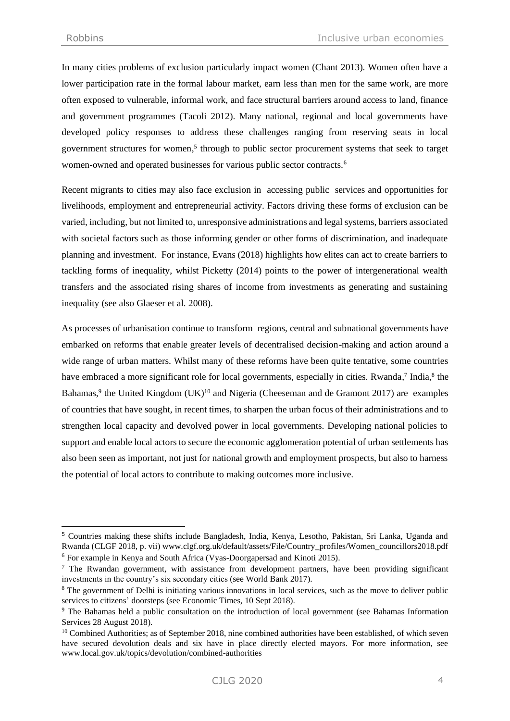In many cities problems of exclusion particularly impact women (Chant 2013). Women often have a lower participation rate in the formal labour market, earn less than men for the same work, are more often exposed to vulnerable, informal work, and face structural barriers around access to land, finance and government programmes (Tacoli 2012). Many national, regional and local governments have developed policy responses to address these challenges ranging from reserving seats in local government structures for women, 5 through to public sector procurement systems that seek to target women-owned and operated businesses for various public sector contracts.<sup>6</sup>

Recent migrants to cities may also face exclusion in accessing public services and opportunities for livelihoods, employment and entrepreneurial activity. Factors driving these forms of exclusion can be varied, including, but not limited to, unresponsive administrations and legal systems, barriers associated with societal factors such as those informing gender or other forms of discrimination, and inadequate planning and investment. For instance, Evans (2018) highlights how elites can act to create barriers to tackling forms of inequality, whilst Picketty (2014) points to the power of intergenerational wealth transfers and the associated rising shares of income from investments as generating and sustaining inequality (see also Glaeser et al. 2008).

As processes of urbanisation continue to transform regions, central and subnational governments have embarked on reforms that enable greater levels of decentralised decision-making and action around a wide range of urban matters. Whilst many of these reforms have been quite tentative, some countries have embraced a more significant role for local governments, especially in cities. Rwanda,<sup>7</sup> India,<sup>8</sup> the Bahamas,<sup>9</sup> the United Kingdom  $(UK)^{10}$  and Nigeria (Cheeseman and de Gramont 2017) are examples of countries that have sought, in recent times, to sharpen the urban focus of their administrations and to strengthen local capacity and devolved power in local governments. Developing national policies to support and enable local actors to secure the economic agglomeration potential of urban settlements has also been seen as important, not just for national growth and employment prospects, but also to harness the potential of local actors to contribute to making outcomes more inclusive.

<sup>5</sup> Countries making these shifts include Bangladesh, India, Kenya, Lesotho, Pakistan, Sri Lanka, Uganda and Rwanda (CLGF 2018, p. vii) www.clgf.org.uk/default/assets/File/Country\_profiles/Women\_councillors2018.pdf <sup>6</sup> For example in Kenya and South Africa (Vyas-Doorgapersad and Kinoti 2015).

 $<sup>7</sup>$  The Rwandan government, with assistance from development partners, have been providing significant</sup> investments in the country's six secondary cities (see World Bank 2017).

<sup>&</sup>lt;sup>8</sup> The government of Delhi is initiating various innovations in local services, such as the move to deliver public services to citizens' doorsteps (see Economic Times, 10 Sept 2018).

<sup>&</sup>lt;sup>9</sup> The Bahamas held a public consultation on the introduction of local government (see Bahamas Information Services 28 August 2018).

<sup>&</sup>lt;sup>10</sup> Combined Authorities; as of September 2018, nine combined authorities have been established, of which seven have secured devolution deals and six have in place directly elected mayors. For more information, see www.local.gov.uk/topics/devolution/combined-authorities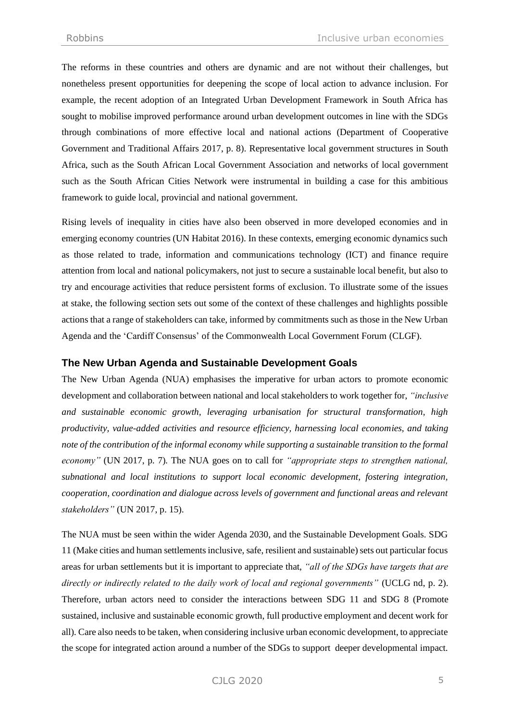The reforms in these countries and others are dynamic and are not without their challenges, but nonetheless present opportunities for deepening the scope of local action to advance inclusion. For example, the recent adoption of an Integrated Urban Development Framework in South Africa has sought to mobilise improved performance around urban development outcomes in line with the SDGs through combinations of more effective local and national actions (Department of Cooperative Government and Traditional Affairs 2017, p. 8). Representative local government structures in South Africa, such as the South African Local Government Association and networks of local government such as the South African Cities Network were instrumental in building a case for this ambitious framework to guide local, provincial and national government.

Rising levels of inequality in cities have also been observed in more developed economies and in emerging economy countries (UN Habitat 2016). In these contexts, emerging economic dynamics such as those related to trade, information and communications technology (ICT) and finance require attention from local and national policymakers, not just to secure a sustainable local benefit, but also to try and encourage activities that reduce persistent forms of exclusion. To illustrate some of the issues at stake, the following section sets out some of the context of these challenges and highlights possible actions that a range of stakeholders can take, informed by commitments such as those in the New Urban Agenda and the 'Cardiff Consensus' of the Commonwealth Local Government Forum (CLGF).

## **The New Urban Agenda and Sustainable Development Goals**

The New Urban Agenda (NUA) emphasises the imperative for urban actors to promote economic development and collaboration between national and local stakeholders to work together for, *"inclusive and sustainable economic growth, leveraging urbanisation for structural transformation, high productivity, value-added activities and resource efficiency, harnessing local economies, and taking note of the contribution of the informal economy while supporting a sustainable transition to the formal economy"* (UN 2017, p. 7)*.* The NUA goes on to call for *"appropriate steps to strengthen national, subnational and local institutions to support local economic development, fostering integration, cooperation, coordination and dialogue across levels of government and functional areas and relevant stakeholders"* (UN 2017, p. 15).

The NUA must be seen within the wider Agenda 2030, and the Sustainable Development Goals. SDG 11 (Make cities and human settlements inclusive, safe, resilient and sustainable) sets out particular focus areas for urban settlements but it is important to appreciate that, *"all of the SDGs have targets that are directly or indirectly related to the daily work of local and regional governments"* (UCLG nd, p. 2). Therefore, urban actors need to consider the interactions between SDG 11 and SDG 8 (Promote sustained, inclusive and sustainable economic growth, full productive employment and decent work for all). Care also needs to be taken, when considering inclusive urban economic development, to appreciate the scope for integrated action around a number of the SDGs to support deeper developmental impact.

CJLG 2020 5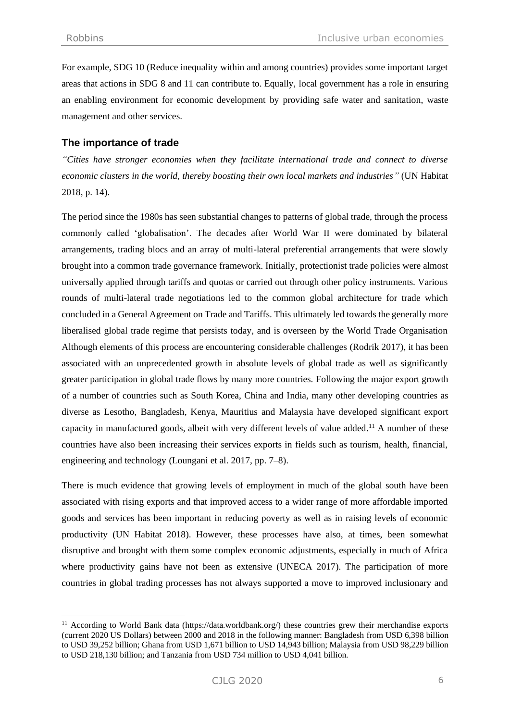For example, SDG 10 (Reduce inequality within and among countries) provides some important target areas that actions in SDG 8 and 11 can contribute to. Equally, local government has a role in ensuring an enabling environment for economic development by providing safe water and sanitation, waste management and other services.

# **The importance of trade**

*"Cities have stronger economies when they facilitate international trade and connect to diverse economic clusters in the world, thereby boosting their own local markets and industries"* (UN Habitat 2018, p. 14).

The period since the 1980s has seen substantial changes to patterns of global trade, through the process commonly called 'globalisation'. The decades after World War II were dominated by bilateral arrangements, trading blocs and an array of multi-lateral preferential arrangements that were slowly brought into a common trade governance framework. Initially, protectionist trade policies were almost universally applied through tariffs and quotas or carried out through other policy instruments. Various rounds of multi-lateral trade negotiations led to the common global architecture for trade which concluded in a General Agreement on Trade and Tariffs. This ultimately led towards the generally more liberalised global trade regime that persists today, and is overseen by the World Trade Organisation Although elements of this process are encountering considerable challenges (Rodrik 2017), it has been associated with an unprecedented growth in absolute levels of global trade as well as significantly greater participation in global trade flows by many more countries. Following the major export growth of a number of countries such as South Korea, China and India, many other developing countries as diverse as Lesotho, Bangladesh, Kenya, Mauritius and Malaysia have developed significant export capacity in manufactured goods, albeit with very different levels of value added.<sup>11</sup> A number of these countries have also been increasing their services exports in fields such as tourism, health, financial, engineering and technology (Loungani et al. 2017, pp. 7–8).

There is much evidence that growing levels of employment in much of the global south have been associated with rising exports and that improved access to a wider range of more affordable imported goods and services has been important in reducing poverty as well as in raising levels of economic productivity (UN Habitat 2018). However, these processes have also, at times, been somewhat disruptive and brought with them some complex economic adjustments, especially in much of Africa where productivity gains have not been as extensive (UNECA 2017). The participation of more countries in global trading processes has not always supported a move to improved inclusionary and

<sup>11</sup> According to World Bank data [\(https://data.worldbank.org/\)](https://data.worldbank.org/) these countries grew their merchandise exports (current 2020 US Dollars) between 2000 and 2018 in the following manner: Bangladesh from USD 6,398 billion to USD 39,252 billion; Ghana from USD 1,671 billion to USD 14,943 billion; Malaysia from USD 98,229 billion to USD 218,130 billion; and Tanzania from USD 734 million to USD 4,041 billion.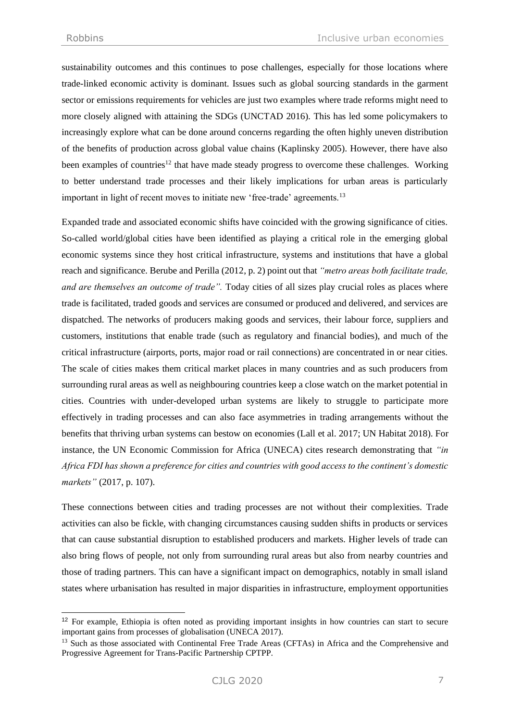sustainability outcomes and this continues to pose challenges, especially for those locations where trade-linked economic activity is dominant. Issues such as global sourcing standards in the garment sector or emissions requirements for vehicles are just two examples where trade reforms might need to more closely aligned with attaining the SDGs (UNCTAD 2016). This has led some policymakers to increasingly explore what can be done around concerns regarding the often highly uneven distribution of the benefits of production across global value chains (Kaplinsky 2005). However, there have also been examples of countries<sup>12</sup> that have made steady progress to overcome these challenges. Working to better understand trade processes and their likely implications for urban areas is particularly important in light of recent moves to initiate new 'free-trade' agreements.<sup>13</sup>

Expanded trade and associated economic shifts have coincided with the growing significance of cities. So-called world/global cities have been identified as playing a critical role in the emerging global economic systems since they host critical infrastructure, systems and institutions that have a global reach and significance. Berube and Perilla (2012, p. 2) point out that *"metro areas both facilitate trade, and are themselves an outcome of trade".* Today cities of all sizes play crucial roles as places where trade is facilitated, traded goods and services are consumed or produced and delivered, and services are dispatched. The networks of producers making goods and services, their labour force, suppliers and customers, institutions that enable trade (such as regulatory and financial bodies), and much of the critical infrastructure (airports, ports, major road or rail connections) are concentrated in or near cities. The scale of cities makes them critical market places in many countries and as such producers from surrounding rural areas as well as neighbouring countries keep a close watch on the market potential in cities. Countries with under-developed urban systems are likely to struggle to participate more effectively in trading processes and can also face asymmetries in trading arrangements without the benefits that thriving urban systems can bestow on economies (Lall et al. 2017; UN Habitat 2018). For instance, the UN Economic Commission for Africa (UNECA) cites research demonstrating that *"in Africa FDI has shown a preference for cities and countries with good access to the continent's domestic markets"* (2017, p. 107).

These connections between cities and trading processes are not without their complexities. Trade activities can also be fickle, with changing circumstances causing sudden shifts in products or services that can cause substantial disruption to established producers and markets. Higher levels of trade can also bring flows of people, not only from surrounding rural areas but also from nearby countries and those of trading partners. This can have a significant impact on demographics, notably in small island states where urbanisation has resulted in major disparities in infrastructure, employment opportunities

<sup>&</sup>lt;sup>12</sup> For example, Ethiopia is often noted as providing important insights in how countries can start to secure important gains from processes of globalisation (UNECA 2017).

<sup>&</sup>lt;sup>13</sup> Such as those associated with Continental Free Trade Areas (CFTAs) in Africa and the Comprehensive and Progressive Agreement for Trans-Pacific Partnership CPTPP.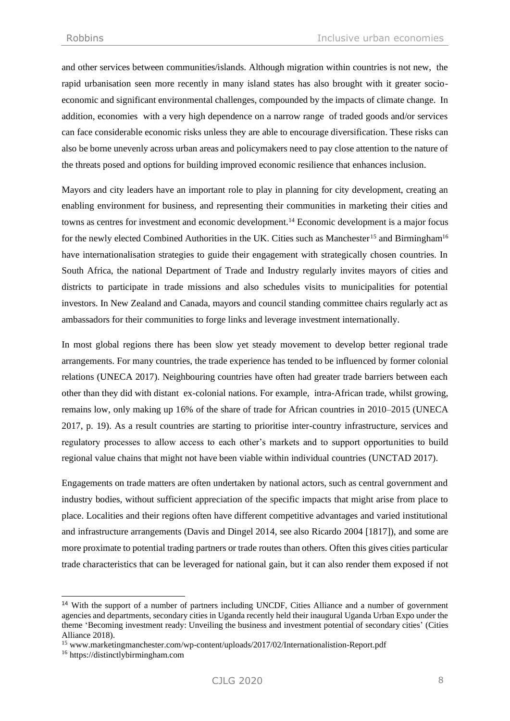and other services between communities/islands. Although migration within countries is not new, the rapid urbanisation seen more recently in many island states has also brought with it greater socioeconomic and significant environmental challenges, compounded by the impacts of climate change. In addition, economies with a very high dependence on a narrow range of traded goods and/or services can face considerable economic risks unless they are able to encourage diversification. These risks can also be borne unevenly across urban areas and policymakers need to pay close attention to the nature of the threats posed and options for building improved economic resilience that enhances inclusion.

Mayors and city leaders have an important role to play in planning for city development, creating an enabling environment for business, and representing their communities in marketing their cities and towns as centres for investment and economic development.<sup>14</sup> Economic development is a major focus for the newly elected Combined Authorities in the UK. Cities such as Manchester<sup>15</sup> and Birmingham<sup>16</sup> have internationalisation strategies to guide their engagement with strategically chosen countries. In South Africa, the national Department of Trade and Industry regularly invites mayors of cities and districts to participate in trade missions and also schedules visits to municipalities for potential investors. In New Zealand and Canada, mayors and council standing committee chairs regularly act as ambassadors for their communities to forge links and leverage investment internationally.

In most global regions there has been slow yet steady movement to develop better regional trade arrangements. For many countries, the trade experience has tended to be influenced by former colonial relations (UNECA 2017). Neighbouring countries have often had greater trade barriers between each other than they did with distant ex-colonial nations. For example, intra-African trade, whilst growing, remains low, only making up 16% of the share of trade for African countries in 2010–2015 (UNECA 2017, p. 19). As a result countries are starting to prioritise inter-country infrastructure, services and regulatory processes to allow access to each other's markets and to support opportunities to build regional value chains that might not have been viable within individual countries (UNCTAD 2017).

Engagements on trade matters are often undertaken by national actors, such as central government and industry bodies, without sufficient appreciation of the specific impacts that might arise from place to place. Localities and their regions often have different competitive advantages and varied institutional and infrastructure arrangements (Davis and Dingel 2014, see also Ricardo 2004 [1817]), and some are more proximate to potential trading partners or trade routes than others. Often this gives cities particular trade characteristics that can be leveraged for national gain, but it can also render them exposed if not

<sup>14</sup> With the support of a number of partners including UNCDF, Cities Alliance and a number of government agencies and departments, secondary cities in Uganda recently held their inaugural Uganda Urban Expo under the theme 'Becoming investment ready: Unveiling the business and investment potential of secondary cities' (Cities Alliance 2018).

<sup>15</sup> [www.marketingmanchester.com/wp-content/uploads/2017/02/Internationalistion-Report.pdf](http://www.marketingmanchester.com/wp-content/uploads/2017/02/Internationalistion-Report.pdf)

<sup>16</sup> [https://distinctlybirmingham.com](https://distinctlybirmingham.com/)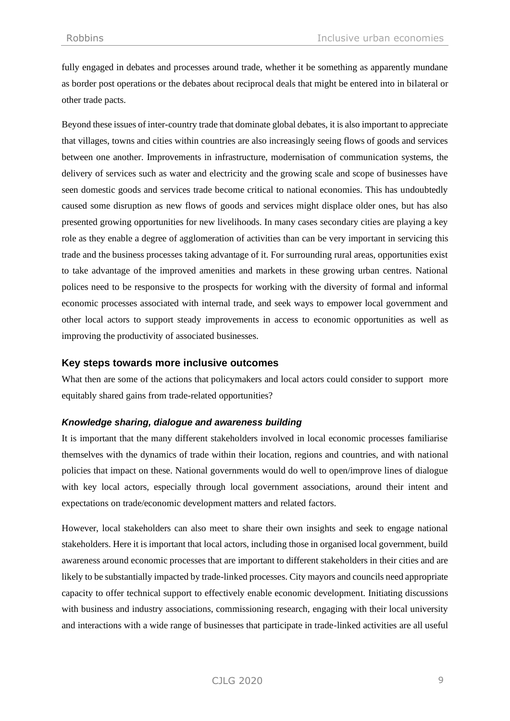fully engaged in debates and processes around trade, whether it be something as apparently mundane as border post operations or the debates about reciprocal deals that might be entered into in bilateral or other trade pacts.

Beyond these issues of inter-country trade that dominate global debates, it is also important to appreciate that villages, towns and cities within countries are also increasingly seeing flows of goods and services between one another. Improvements in infrastructure, modernisation of communication systems, the delivery of services such as water and electricity and the growing scale and scope of businesses have seen domestic goods and services trade become critical to national economies. This has undoubtedly caused some disruption as new flows of goods and services might displace older ones, but has also presented growing opportunities for new livelihoods. In many cases secondary cities are playing a key role as they enable a degree of agglomeration of activities than can be very important in servicing this trade and the business processes taking advantage of it. For surrounding rural areas, opportunities exist to take advantage of the improved amenities and markets in these growing urban centres. National polices need to be responsive to the prospects for working with the diversity of formal and informal economic processes associated with internal trade, and seek ways to empower local government and other local actors to support steady improvements in access to economic opportunities as well as improving the productivity of associated businesses.

## **Key steps towards more inclusive outcomes**

What then are some of the actions that policymakers and local actors could consider to support more equitably shared gains from trade-related opportunities?

#### *Knowledge sharing, dialogue and awareness building*

It is important that the many different stakeholders involved in local economic processes familiarise themselves with the dynamics of trade within their location, regions and countries, and with national policies that impact on these. National governments would do well to open/improve lines of dialogue with key local actors, especially through local government associations, around their intent and expectations on trade/economic development matters and related factors.

However, local stakeholders can also meet to share their own insights and seek to engage national stakeholders. Here it is important that local actors, including those in organised local government, build awareness around economic processes that are important to different stakeholders in their cities and are likely to be substantially impacted by trade-linked processes. City mayors and councils need appropriate capacity to offer technical support to effectively enable economic development. Initiating discussions with business and industry associations, commissioning research, engaging with their local university and interactions with a wide range of businesses that participate in trade-linked activities are all useful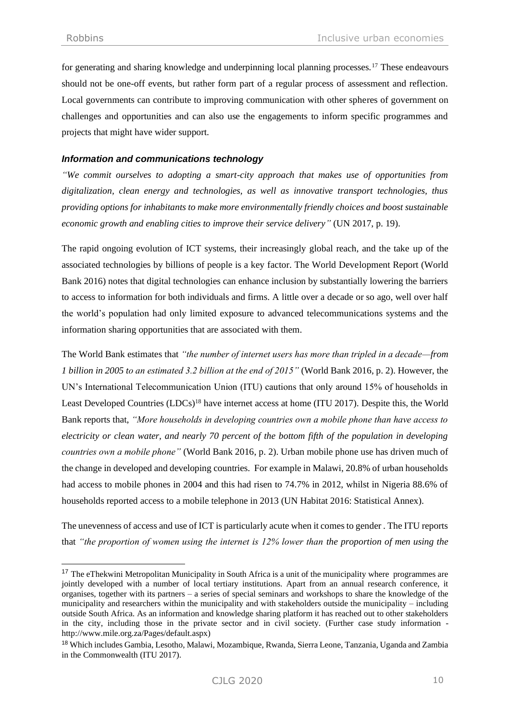for generating and sharing knowledge and underpinning local planning processes.<sup>17</sup> These endeavours should not be one-off events, but rather form part of a regular process of assessment and reflection. Local governments can contribute to improving communication with other spheres of government on challenges and opportunities and can also use the engagements to inform specific programmes and projects that might have wider support.

## *Information and communications technology*

*"We commit ourselves to adopting a smart-city approach that makes use of opportunities from digitalization, clean energy and technologies, as well as innovative transport technologies, thus providing options for inhabitants to make more environmentally friendly choices and boost sustainable economic growth and enabling cities to improve their service delivery"* (UN 2017, p. 19).

The rapid ongoing evolution of ICT systems, their increasingly global reach, and the take up of the associated technologies by billions of people is a key factor. The World Development Report (World Bank 2016) notes that digital technologies can enhance inclusion by substantially lowering the barriers to access to information for both individuals and firms. A little over a decade or so ago, well over half the world's population had only limited exposure to advanced telecommunications systems and the information sharing opportunities that are associated with them.

The World Bank estimates that *"the number of internet users has more than tripled in a decade—from 1 billion in 2005 to an estimated 3.2 billion at the end of 2015"* (World Bank 2016, p. 2). However, the UN's International Telecommunication Union (ITU) cautions that only around 15% of households in Least Developed Countries (LDCs)<sup>18</sup> have internet access at home (ITU 2017). Despite this, the World Bank reports that, *"More households in developing countries own a mobile phone than have access to electricity or clean water, and nearly 70 percent of the bottom fifth of the population in developing countries own a mobile phone"* (World Bank 2016, p. 2). Urban mobile phone use has driven much of the change in developed and developing countries. For example in Malawi, 20.8% of urban households had access to mobile phones in 2004 and this had risen to 74.7% in 2012, whilst in Nigeria 88.6% of households reported access to a mobile telephone in 2013 (UN Habitat 2016: Statistical Annex).

The unevenness of access and use of ICT is particularly acute when it comes to gender . The ITU reports that *"the proportion of women using the internet is 12% lower than the proportion of men using the* 

<sup>&</sup>lt;sup>17</sup> The eThekwini Metropolitan Municipality in South Africa is a unit of the municipality where programmes are jointly developed with a number of local tertiary institutions. Apart from an annual research conference, it organises, together with its partners – a series of special seminars and workshops to share the knowledge of the municipality and researchers within the municipality and with stakeholders outside the municipality – including outside South Africa. As an information and knowledge sharing platform it has reached out to other stakeholders in the city, including those in the private sector and in civil society. (Further case study information http://www.mile.org.za/Pages/default.aspx)

<sup>18</sup> Which includes Gambia, Lesotho, Malawi, Mozambique, Rwanda, Sierra Leone, Tanzania, Uganda and Zambia in the Commonwealth (ITU 2017).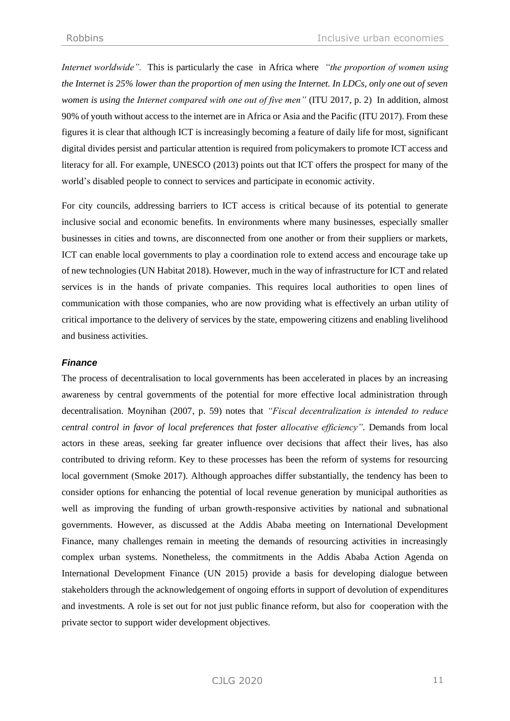*Internet worldwide".* This is particularly the case in Africa where *"the proportion of women using the Internet is 25% lower than the proportion of men using the Internet. In LDCs, only one out of seven women is using the Internet compared with one out of five men"* (ITU 2017, p. 2) In addition, almost 90% of youth without access to the internet are in Africa or Asia and the Pacific (ITU 2017). From these figures it is clear that although ICT is increasingly becoming a feature of daily life for most, significant digital divides persist and particular attention is required from policymakers to promote ICT access and literacy for all. For example, UNESCO (2013) points out that ICT offers the prospect for many of the world's disabled people to connect to services and participate in economic activity.

For city councils, addressing barriers to ICT access is critical because of its potential to generate inclusive social and economic benefits. In environments where many businesses, especially smaller businesses in cities and towns, are disconnected from one another or from their suppliers or markets, ICT can enable local governments to play a coordination role to extend access and encourage take up of new technologies (UN Habitat 2018). However, much in the way of infrastructure for ICT and related services is in the hands of private companies. This requires local authorities to open lines of communication with those companies, who are now providing what is effectively an urban utility of critical importance to the delivery of services by the state, empowering citizens and enabling livelihood and business activities.

#### *Finance*

The process of decentralisation to local governments has been accelerated in places by an increasing awareness by central governments of the potential for more effective local administration through decentralisation. Moynihan (2007, p. 59) notes that *"Fiscal decentralization is intended to reduce central control in favor of local preferences that foster allocative efficiency".* Demands from local actors in these areas, seeking far greater influence over decisions that affect their lives, has also contributed to driving reform. Key to these processes has been the reform of systems for resourcing local government (Smoke 2017). Although approaches differ substantially, the tendency has been to consider options for enhancing the potential of local revenue generation by municipal authorities as well as improving the funding of urban growth-responsive activities by national and subnational governments. However, as discussed at the Addis Ababa meeting on International Development Finance, many challenges remain in meeting the demands of resourcing activities in increasingly complex urban systems. Nonetheless, the commitments in the Addis Ababa Action Agenda on International Development Finance (UN 2015) provide a basis for developing dialogue between stakeholders through the acknowledgement of ongoing efforts in support of devolution of expenditures and investments. A role is set out for not just public finance reform, but also for cooperation with the private sector to support wider development objectives.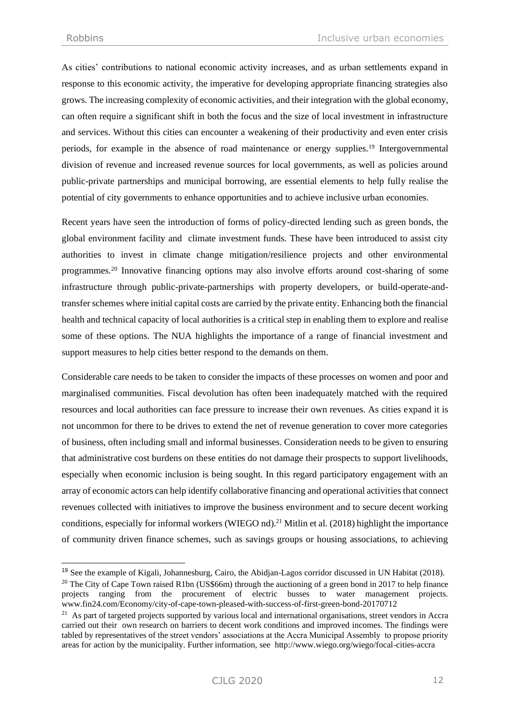As cities' contributions to national economic activity increases, and as urban settlements expand in response to this economic activity, the imperative for developing appropriate financing strategies also grows. The increasing complexity of economic activities, and their integration with the global economy, can often require a significant shift in both the focus and the size of local investment in infrastructure and services. Without this cities can encounter a weakening of their productivity and even enter crisis periods, for example in the absence of road maintenance or energy supplies.<sup>19</sup> Intergovernmental division of revenue and increased revenue sources for local governments, as well as policies around public-private partnerships and municipal borrowing, are essential elements to help fully realise the potential of city governments to enhance opportunities and to achieve inclusive urban economies.

Recent years have seen the introduction of forms of policy-directed lending such as green bonds, the global environment facility and climate investment funds. These have been introduced to assist city authorities to invest in climate change mitigation/resilience projects and other environmental programmes.<sup>20</sup> Innovative financing options may also involve efforts around cost-sharing of some infrastructure through public-private-partnerships with property developers, or build-operate-andtransfer schemes where initial capital costs are carried by the private entity. Enhancing both the financial health and technical capacity of local authorities is a critical step in enabling them to explore and realise some of these options. The NUA highlights the importance of a range of financial investment and support measures to help cities better respond to the demands on them.

Considerable care needs to be taken to consider the impacts of these processes on women and poor and marginalised communities. Fiscal devolution has often been inadequately matched with the required resources and local authorities can face pressure to increase their own revenues. As cities expand it is not uncommon for there to be drives to extend the net of revenue generation to cover more categories of business, often including small and informal businesses. Consideration needs to be given to ensuring that administrative cost burdens on these entities do not damage their prospects to support livelihoods, especially when economic inclusion is being sought. In this regard participatory engagement with an array of economic actors can help identify collaborative financing and operational activities that connect revenues collected with initiatives to improve the business environment and to secure decent working conditions, especially for informal workers (WIEGO nd). <sup>21</sup> Mitlin et al. (2018) highlight the importance of community driven finance schemes, such as savings groups or housing associations, to achieving

<sup>19</sup> See the example of Kigali, Johannesburg, Cairo, the Abidjan-Lagos corridor discussed in UN Habitat (2018).

<sup>&</sup>lt;sup>20</sup> The City of Cape Town raised R1bn (US\$66m) through the auctioning of a green bond in 2017 to help finance projects ranging from the procurement of electric busses to water management projects. www.fin24.com/Economy/city-of-cape-town-pleased-with-success-of-first-green-bond-20170712

<sup>&</sup>lt;sup>21</sup> As part of targeted projects supported by various local and international organisations, street vendors in Accra carried out their own research on barriers to decent work conditions and improved incomes. The findings were tabled by representatives of the street vendors' associations at the Accra Municipal Assembly to propose priority areas for action by the municipality. Further information, see http://www.wiego.org/wiego/focal-cities-accra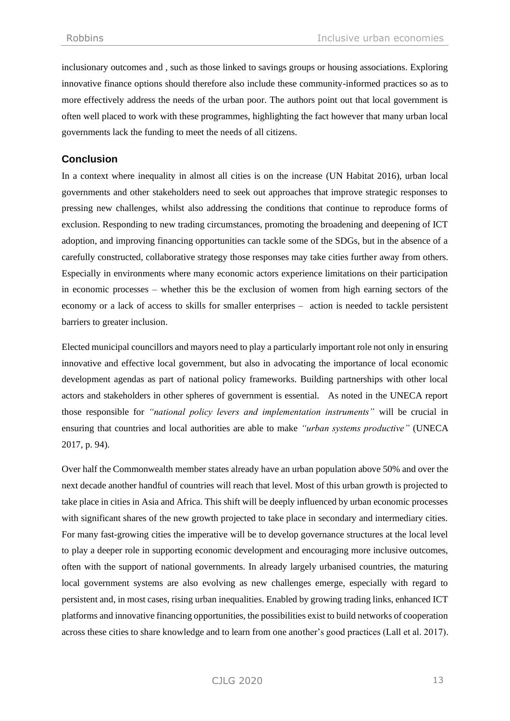inclusionary outcomes and , such as those linked to savings groups or housing associations. Exploring innovative finance options should therefore also include these community-informed practices so as to more effectively address the needs of the urban poor. The authors point out that local government is often well placed to work with these programmes, highlighting the fact however that many urban local governments lack the funding to meet the needs of all citizens.

# **Conclusion**

In a context where inequality in almost all cities is on the increase (UN Habitat 2016), urban local governments and other stakeholders need to seek out approaches that improve strategic responses to pressing new challenges, whilst also addressing the conditions that continue to reproduce forms of exclusion. Responding to new trading circumstances, promoting the broadening and deepening of ICT adoption, and improving financing opportunities can tackle some of the SDGs, but in the absence of a carefully constructed, collaborative strategy those responses may take cities further away from others. Especially in environments where many economic actors experience limitations on their participation in economic processes – whether this be the exclusion of women from high earning sectors of the economy or a lack of access to skills for smaller enterprises – action is needed to tackle persistent barriers to greater inclusion.

Elected municipal councillors and mayors need to play a particularly important role not only in ensuring innovative and effective local government, but also in advocating the importance of local economic development agendas as part of national policy frameworks. Building partnerships with other local actors and stakeholders in other spheres of government is essential. As noted in the UNECA report those responsible for *"national policy levers and implementation instruments"* will be crucial in ensuring that countries and local authorities are able to make *"urban systems productive"* (UNECA 2017, p. 94).

Over half the Commonwealth member states already have an urban population above 50% and over the next decade another handful of countries will reach that level. Most of this urban growth is projected to take place in cities in Asia and Africa. This shift will be deeply influenced by urban economic processes with significant shares of the new growth projected to take place in secondary and intermediary cities. For many fast-growing cities the imperative will be to develop governance structures at the local level to play a deeper role in supporting economic development and encouraging more inclusive outcomes, often with the support of national governments. In already largely urbanised countries, the maturing local government systems are also evolving as new challenges emerge, especially with regard to persistent and, in most cases, rising urban inequalities. Enabled by growing trading links, enhanced ICT platforms and innovative financing opportunities, the possibilities exist to build networks of cooperation across these cities to share knowledge and to learn from one another's good practices (Lall et al. 2017).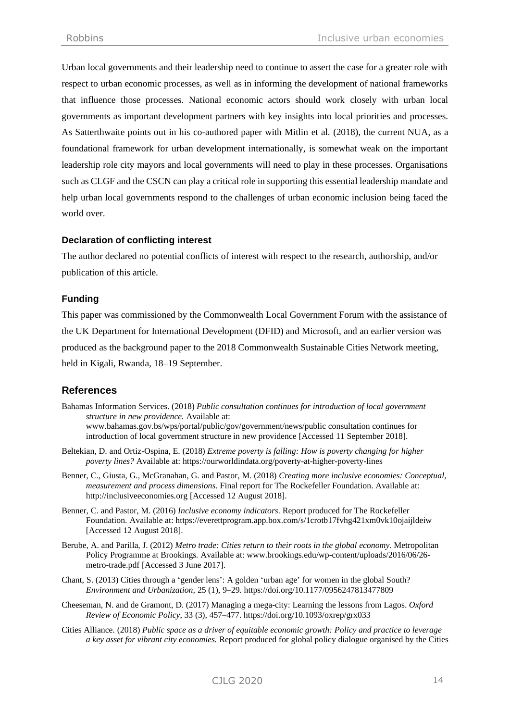Urban local governments and their leadership need to continue to assert the case for a greater role with respect to urban economic processes, as well as in informing the development of national frameworks that influence those processes. National economic actors should work closely with urban local governments as important development partners with key insights into local priorities and processes. As Satterthwaite points out in his co-authored paper with Mitlin et al. (2018), the current NUA, as a foundational framework for urban development internationally, is somewhat weak on the important leadership role city mayors and local governments will need to play in these processes. Organisations such as CLGF and the CSCN can play a critical role in supporting this essential leadership mandate and help urban local governments respond to the challenges of urban economic inclusion being faced the world over.

## **Declaration of conflicting interest**

The author declared no potential conflicts of interest with respect to the research, authorship, and/or publication of this article.

## **Funding**

This paper was commissioned by the Commonwealth Local Government Forum with the assistance of the UK Department for International Development (DFID) and Microsoft, and an earlier version was produced as the background paper to the 2018 Commonwealth Sustainable Cities Network meeting, held in Kigali, Rwanda, 18–19 September.

# **References**

- Bahamas Information Services. (2018) *Public consultation continues for introduction of local government structure in new providence.* Available at: [www.bahamas.gov.bs/wps/portal/public/gov/government/news/public consultation continues for](file://///shp.local/CLGF-DFS$/Data/Company/Commonwealth%20Sustainable%20Cities%20Network/CSCN/2018%20CSCN%20meet%20Kigali/Background%20paper%20-%20Kigali%20CSCN/www.bahamas.gov.bs/wps/portal/public/gov/government/news/public%20consultation%20continues%20for%20introduction%20of%20local%20government%20structure%20in%20new%20providence)  [introduction of local government structure in new providence](file://///shp.local/CLGF-DFS$/Data/Company/Commonwealth%20Sustainable%20Cities%20Network/CSCN/2018%20CSCN%20meet%20Kigali/Background%20paper%20-%20Kigali%20CSCN/www.bahamas.gov.bs/wps/portal/public/gov/government/news/public%20consultation%20continues%20for%20introduction%20of%20local%20government%20structure%20in%20new%20providence) [Accessed 11 September 2018].
- Beltekian, D. and Ortiz-Ospina, E. (2018) *Extreme poverty is falling: How is poverty changing for higher poverty lines?* Available at:<https://ourworldindata.org/poverty-at-higher-poverty-lines>
- Benner, C., Giusta, G., McGranahan, G. and Pastor, M. (2018) *Creating more inclusive economies: Conceptual, measurement and process dimensions*. Final report for The Rockefeller Foundation. Available at: [http://inclusiveeconomies.org](http://inclusiveeconomies.org/) [Accessed 12 August 2018].
- Benner, C. and Pastor, M. (2016) *Inclusive economy indicators*. Report produced for The Rockefeller Foundation. Available at:<https://everettprogram.app.box.com/s/1crotb17fvhg421xm0vk10ojaijldeiw> [Accessed 12 August 2018].
- Berube, A. and Parilla, J. (2012) *Metro trade: Cities return to their roots in the global economy.* Metropolitan Policy Programme at Brookings. Available at: [www.brookings.edu/wp-content/uploads/2016/06/26](http://www.brookings.edu/wp-content/uploads/2016/06/26-metro-trade.pdf) [metro-trade.pdf](http://www.brookings.edu/wp-content/uploads/2016/06/26-metro-trade.pdf) [Accessed 3 June 2017].
- Chant, S. (2013) Cities through a 'gender lens': A golden 'urban age' for women in the global South? *Environment and Urbanization,* 25 (1), 9–29. https://doi.org/10.1177/0956247813477809
- Cheeseman, N. and de Gramont, D. (2017) Managing a mega-city: Learning the lessons from Lagos. *Oxford Review of Economic Policy*, 33 (3), 457–477. <https://doi.org/10.1093/oxrep/grx033>
- Cities Alliance. (2018) *Public space as a driver of equitable economic growth: Policy and practice to leverage a key asset for vibrant city economies.* Report produced for global policy dialogue organised by the Cities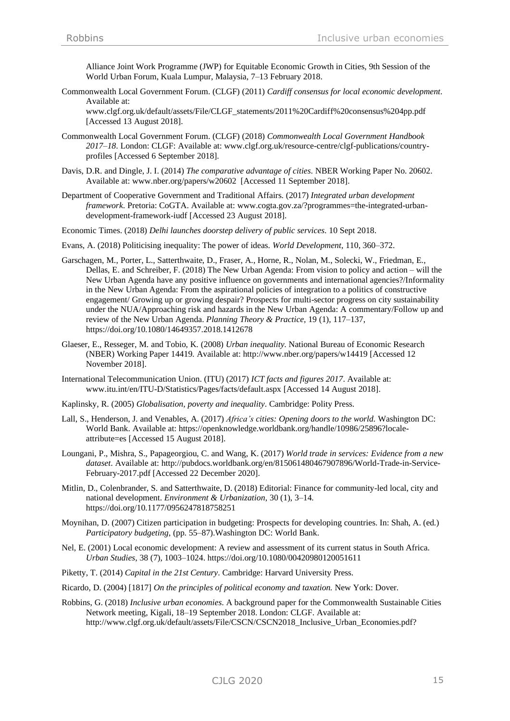Alliance Joint Work Programme (JWP) for Equitable Economic Growth in Cities, 9th Session of the World Urban Forum, Kuala Lumpur, Malaysia, 7–13 February 2018.

Commonwealth Local Government Forum. (CLGF) (2011) *Cardiff consensus for local economic development*. Available at:

[www.clgf.org.uk/default/assets/File/CLGF\\_statements/2011%20Cardiff%20consensus%204pp.pdf](http://www.clgf.org.uk/default/assets/File/CLGF_statements/2011%20Cardiff%20consensus%204pp.pdf)  [Accessed 13 August 2018].

- Commonwealth Local Government Forum. (CLGF) (2018) *Commonwealth Local Government Handbook 2017–18*. London: CLGF: Available at[: www.clgf.org.uk/resource-centre/clgf-publications/country](http://www.clgf.org.uk/resource-centre/clgf-publications/country-profiles)[profiles](http://www.clgf.org.uk/resource-centre/clgf-publications/country-profiles) [Accessed 6 September 2018].
- Davis, D.R. and Dingle, J. I. (2014) *The comparative advantage of cities*. NBER Working Paper No. 20602. Available at: [www.nber.org/papers/w20602 \[Accessed 11 September 2018\]](http://www.nber.org/papers/w20602%20%20%5bAccessed%2011%20September%202018).
- Department of Cooperative Government and Traditional Affairs. (2017) *Integrated urban development framework*. Pretoria: CoGTA. Available at[: www.cogta.gov.za/?programmes=the-integrated-urban](http://www.cogta.gov.za/?programmes=the-integrated-urban-development-framework-iudf)[development-framework-iudf](http://www.cogta.gov.za/?programmes=the-integrated-urban-development-framework-iudf) [Accessed 23 August 2018].
- Economic Times. (2018) *Delhi launches doorstep delivery of public services*. 10 Sept 2018.
- Evans, A. (2018) Politicising inequality: The power of ideas. *World Development*, 110, 360–372.
- Garschagen, M., Porter, L., Satterthwaite, D., Fraser, A., Horne, R., Nolan, M., Solecki, W., Friedman, E., Dellas, E. and Schreiber, F. (2018) The New Urban Agenda: From vision to policy and action – will the New Urban Agenda have any positive influence on governments and international agencies?/Informality in the New Urban Agenda: From the aspirational policies of integration to a politics of constructive engagement/ Growing up or growing despair? Prospects for multi-sector progress on city sustainability under the NUA/Approaching risk and hazards in the New Urban Agenda: A commentary/Follow up and review of the New Urban Agenda. *Planning Theory & Practice,* 19 (1), 117–137, https://doi.org/10.1080/14649357.2018.1412678
- Glaeser, E., Resseger, M. and Tobio, K. (2008) *Urban inequality.* National Bureau of Economic Research (NBER) Working Paper 14419. Available at[: http://www.nber.org/papers/w14419](http://www.nber.org/papers/w14419) [Accessed 12 November 2018].
- International Telecommunication Union. (ITU) (2017) *ICT facts and figures 2017*. Available at: [www.itu.int/en/ITU-D/Statistics/Pages/facts/default.aspx](http://www.itu.int/en/ITU-D/Statistics/Pages/facts/default.aspx) [Accessed 14 August 2018].
- Kaplinsky, R. (2005) *Globalisation, poverty and inequality*. Cambridge: Polity Press.
- Lall, S., Henderson, J. and Venables, A. (2017) *Africa's cities: Opening doors to the world.* Washington DC: World Bank. Available at[: https://openknowledge.worldbank.org/handle/10986/25896?locale](https://openknowledge.worldbank.org/handle/10986/25896?locale-attribute=es)[attribute=es](https://openknowledge.worldbank.org/handle/10986/25896?locale-attribute=es) [Accessed 15 August 2018].
- Loungani, P., Mishra, S., Papageorgiou, C. and Wang, K. (2017) *World trade in services: Evidence from a new dataset*. Available at: [http://pubdocs.worldbank.org/en/815061480467907896/World-Trade-in-Service-](http://pubdocs.worldbank.org/en/815061480467907896/World-Trade-in-Service-February-2017.pdf)[February-2017.pdf](http://pubdocs.worldbank.org/en/815061480467907896/World-Trade-in-Service-February-2017.pdf) [Accessed 22 December 2020].
- Mitlin, D., Colenbrander, S. and Satterthwaite, D. (2018) Editorial: Finance for community-led local, city and national development. *Environment & Urbanization*, 30 (1), 3–14. https://doi.org/10.1177/0956247818758251
- Moynihan, D. (2007) Citizen participation in budgeting: Prospects for developing countries. In: Shah, A. (ed.) *Participatory budgeting*, (pp. 55–87).Washington DC: World Bank.
- Nel, E. (2001) Local economic development: A review and assessment of its current status in South Africa. *Urban Studies*, 38 (7), 1003–1024. https://doi.org/10.1080/00420980120051611
- Piketty, T. (2014) *Capital in the 21st Century*. Cambridge: Harvard University Press.
- Ricardo, D. (2004) [1817] *On the principles of political economy and taxation.* New York: Dover.
- Robbins, G. (2018) *Inclusive urban economies*. A background paper for the Commonwealth Sustainable Cities Network meeting, Kigali, 18–19 September 2018. London: CLGF. Available at: http://www.clgf.org.uk/default/assets/File/CSCN/CSCN2018\_Inclusive\_Urban\_Economies.pdf?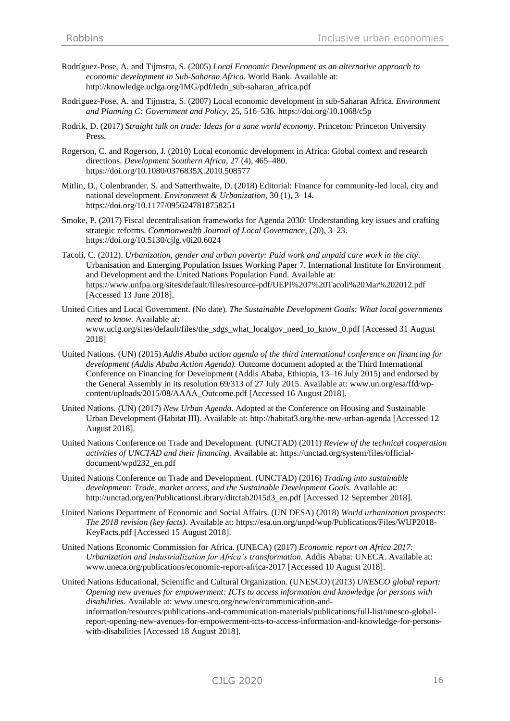- Rodríguez-Pose, A. and Tijmstra, S. (2005) *Local Economic Development as an alternative approach to economic development in Sub-Saharan Africa*. World Bank. Available at: http://knowledge.uclga.org/IMG/pdf/ledn\_sub-saharan\_africa.pdf
- Rodriguez-Pose, A. and Tijmstra, S. (2007) Local economic development in sub-Saharan Africa. *Environment and Planning C: Government and Policy,* 25, 516–536. https://doi.org/10.1068/c5p
- Rodrik, D. (2017) *Straight talk on trade: Ideas for a sane world economy*. Princeton: Princeton University Press.
- Rogerson, C. and Rogerson, J. (2010) Local economic development in Africa: Global context and research directions. *Development Southern Africa*, 27 (4), 465–480. https://doi.org/10.1080/0376835X.2010.508577
- Mitlin, D., Colenbrander, S. and Satterthwaite, D. (2018) Editorial: Finance for community-led local, city and national development. *Environment & Urbanization*, 30 (1), 3–14. https://doi.org/10.1177/0956247818758251
- Smoke, P. (2017) Fiscal decentralisation frameworks for Agenda 2030: Understanding key issues and crafting strategic reforms. *Commonwealth Journal of Local Governance*, (20), 3–23. https://doi.org/10.5130/cjlg.v0i20.6024
- Tacoli, C. (2012). *Urbanization, gender and urban poverty: Paid work and unpaid care work in the city*. Urbanisation and Emerging Population Issues Working Paper 7. International Institute for Environment and Development and the United Nations Population Fund. Available at: <https://www.unfpa.org/sites/default/files/resource-pdf/UEPI%207%20Tacoli%20Mar%202012.pdf> [Accessed 13 June 2018].
- United Cities and Local Government. (No date). *The Sustainable Development Goals: What local governments need to know.* Available at: [www.uclg.org/sites/default/files/the\\_sdgs\\_what\\_localgov\\_need\\_to\\_know\\_0.pdf](http://www.uclg.org/sites/default/files/the_sdgs_what_localgov_need_to_know_0.pdf) [Accessed 31 August 2018]
- United Nations. (UN) (2015) *Addis Ababa action agenda of the third international conference on financing for development (Addis Ababa Action Agenda).* Outcome document adopted at the Third International Conference on Financing for Development (Addis Ababa, Ethiopia, 13–16 July 2015) and endorsed by the General Assembly in its resolution 69/313 of 27 July 2015. Available at: www.un.org/esa/ffd/wpcontent/uploads/2015/08/AAAA\_Outcome.pdf [Accessed 16 August 2018].
- United Nations. (UN) (2017) *New Urban Agenda*. Adopted at the Conference on Housing and Sustainable Urban Development (Habitat III). Available at: http://habitat3.org/the-new-urban-agenda [Accessed 12 August 2018].
- United Nations Conference on Trade and Development. (UNCTAD) (2011) *Review of the technical cooperation activities of UNCTAD and their financing.* Available at: https://unctad.org/system/files/officialdocument/wpd232\_en.pdf
- United Nations Conference on Trade and Development. (UNCTAD) (2016) *Trading into sustainable development: Trade, market access, and the Sustainable Development Goals.* Available at: http://unctad.org/en/PublicationsLibrary/ditctab2015d3\_en.pdf [Accessed 12 September 2018].
- United Nations Department of Economic and Social Affairs. (UN DESA) (2018) *World urbanization prospects: The 2018 revision (key facts).* Available at: [https://esa.un.org/unpd/wup/Publications/Files/WUP2018-](https://esa.un.org/unpd/wup/Publications/Files/WUP2018-KeyFacts.pdf%20%5bAccessed%2015%20August%202018) [KeyFacts.pdf \[Accessed 15 August 2018\]](https://esa.un.org/unpd/wup/Publications/Files/WUP2018-KeyFacts.pdf%20%5bAccessed%2015%20August%202018).
- United Nations Economic Commission for Africa. (UNECA) (2017) *Economic report on Africa 2017: Urbanization and industrialization for Africa's transformation*. Addis Ababa: UNECA. Available at: [www.uneca.org/publications/economic-report-africa-2017](http://www.uneca.org/publications/economic-report-africa-2017) [Accessed 10 August 2018].
- United Nations Educational, Scientific and Cultural Organization. (UNESCO) (2013) *UNESCO global report: Opening new avenues for empowerment: ICTs to access information and knowledge for persons with disabilities*. Available at: [www.unesco.org/new/en/communication-and](http://www.unesco.org/new/en/communication-and-information/resources/publications-and-communication-materials/publications/full-list/unesco-global-report-opening-new-avenues-for-empowerment-icts-to-access-information-and-knowledge-for-persons-with-disabilities/)[information/resources/publications-and-communication-materials/publications/full-list/unesco-global](http://www.unesco.org/new/en/communication-and-information/resources/publications-and-communication-materials/publications/full-list/unesco-global-report-opening-new-avenues-for-empowerment-icts-to-access-information-and-knowledge-for-persons-with-disabilities/)[report-opening-new-avenues-for-empowerment-icts-to-access-information-and-knowledge-for-persons](http://www.unesco.org/new/en/communication-and-information/resources/publications-and-communication-materials/publications/full-list/unesco-global-report-opening-new-avenues-for-empowerment-icts-to-access-information-and-knowledge-for-persons-with-disabilities/)[with-disabilities](http://www.unesco.org/new/en/communication-and-information/resources/publications-and-communication-materials/publications/full-list/unesco-global-report-opening-new-avenues-for-empowerment-icts-to-access-information-and-knowledge-for-persons-with-disabilities/) [Accessed 18 August 2018].